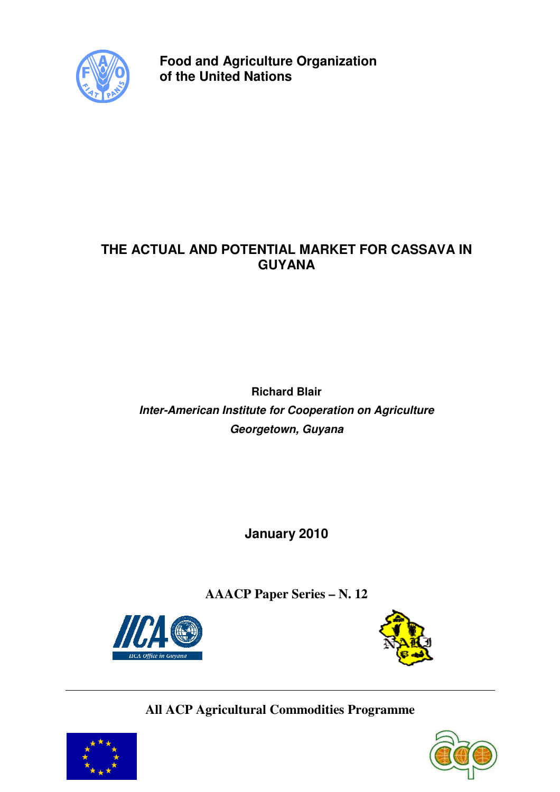

**Food and Agriculture Organization of the United Nations** 

# **THE ACTUAL AND POTENTIAL MARKET FOR CASSAVA IN GUYANA**

**Richard Blair Inter-American Institute for Cooperation on Agriculture Georgetown, Guyana** 

**January 2010** 

**AAACP Paper Series – N. 12**





# **All ACP Agricultural Commodities Programme**



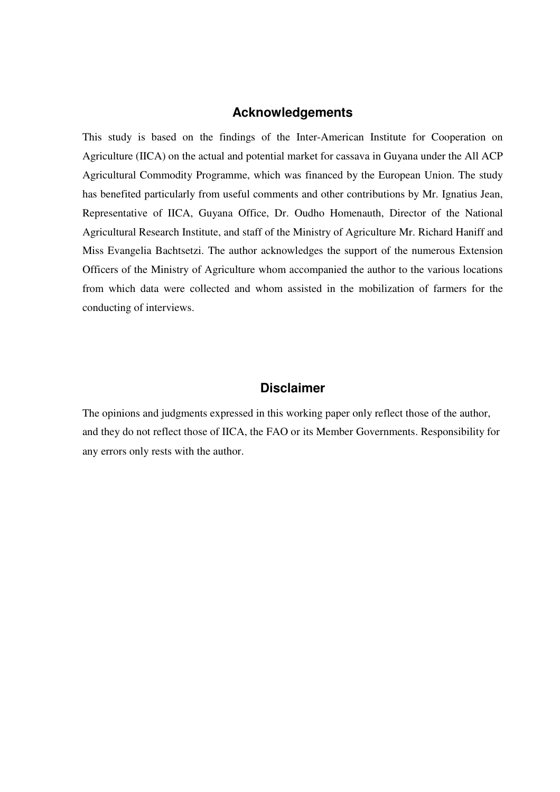## **Acknowledgements**

This study is based on the findings of the Inter-American Institute for Cooperation on Agriculture (IICA) on the actual and potential market for cassava in Guyana under the All ACP Agricultural Commodity Programme, which was financed by the European Union. The study has benefited particularly from useful comments and other contributions by Mr. Ignatius Jean, Representative of IICA, Guyana Office, Dr. Oudho Homenauth, Director of the National Agricultural Research Institute, and staff of the Ministry of Agriculture Mr. Richard Haniff and Miss Evangelia Bachtsetzi. The author acknowledges the support of the numerous Extension Officers of the Ministry of Agriculture whom accompanied the author to the various locations from which data were collected and whom assisted in the mobilization of farmers for the conducting of interviews.

## **Disclaimer**

The opinions and judgments expressed in this working paper only reflect those of the author, and they do not reflect those of IICA, the FAO or its Member Governments. Responsibility for any errors only rests with the author.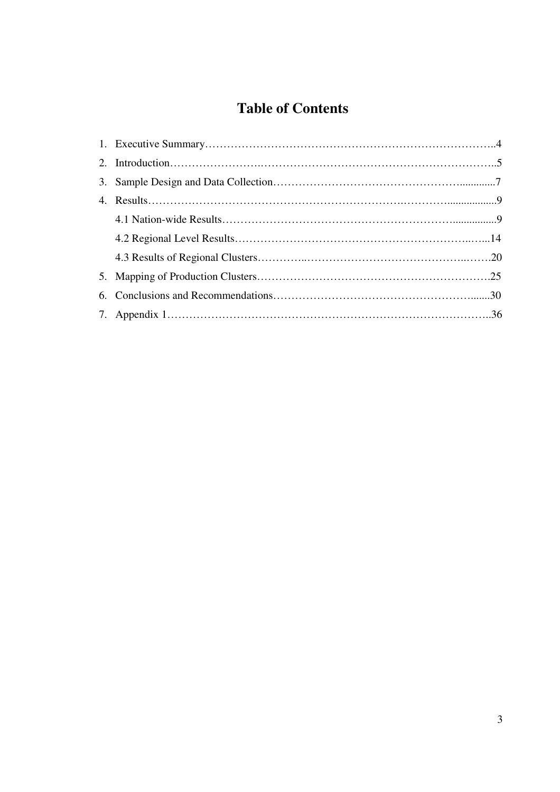# **Table of Contents**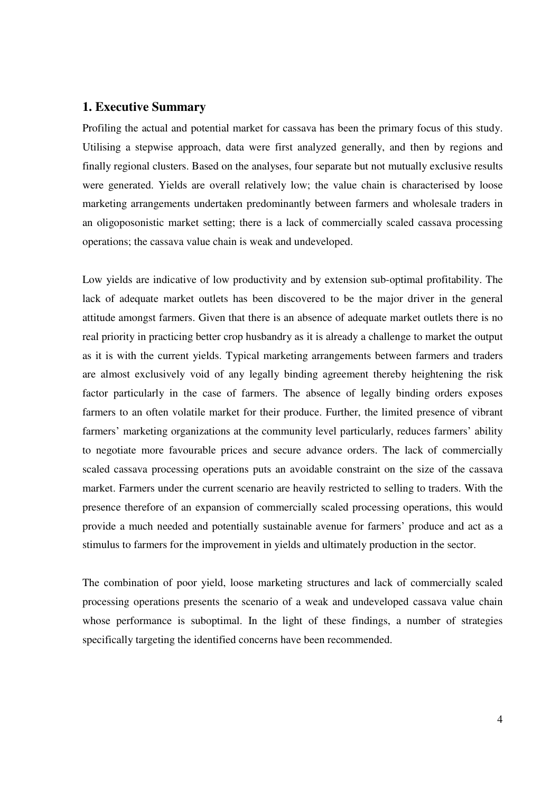## **1. Executive Summary**

Profiling the actual and potential market for cassava has been the primary focus of this study. Utilising a stepwise approach, data were first analyzed generally, and then by regions and finally regional clusters. Based on the analyses, four separate but not mutually exclusive results were generated. Yields are overall relatively low; the value chain is characterised by loose marketing arrangements undertaken predominantly between farmers and wholesale traders in an oligoposonistic market setting; there is a lack of commercially scaled cassava processing operations; the cassava value chain is weak and undeveloped.

Low yields are indicative of low productivity and by extension sub-optimal profitability. The lack of adequate market outlets has been discovered to be the major driver in the general attitude amongst farmers. Given that there is an absence of adequate market outlets there is no real priority in practicing better crop husbandry as it is already a challenge to market the output as it is with the current yields. Typical marketing arrangements between farmers and traders are almost exclusively void of any legally binding agreement thereby heightening the risk factor particularly in the case of farmers. The absence of legally binding orders exposes farmers to an often volatile market for their produce. Further, the limited presence of vibrant farmers' marketing organizations at the community level particularly, reduces farmers' ability to negotiate more favourable prices and secure advance orders. The lack of commercially scaled cassava processing operations puts an avoidable constraint on the size of the cassava market. Farmers under the current scenario are heavily restricted to selling to traders. With the presence therefore of an expansion of commercially scaled processing operations, this would provide a much needed and potentially sustainable avenue for farmers' produce and act as a stimulus to farmers for the improvement in yields and ultimately production in the sector.

The combination of poor yield, loose marketing structures and lack of commercially scaled processing operations presents the scenario of a weak and undeveloped cassava value chain whose performance is suboptimal. In the light of these findings, a number of strategies specifically targeting the identified concerns have been recommended.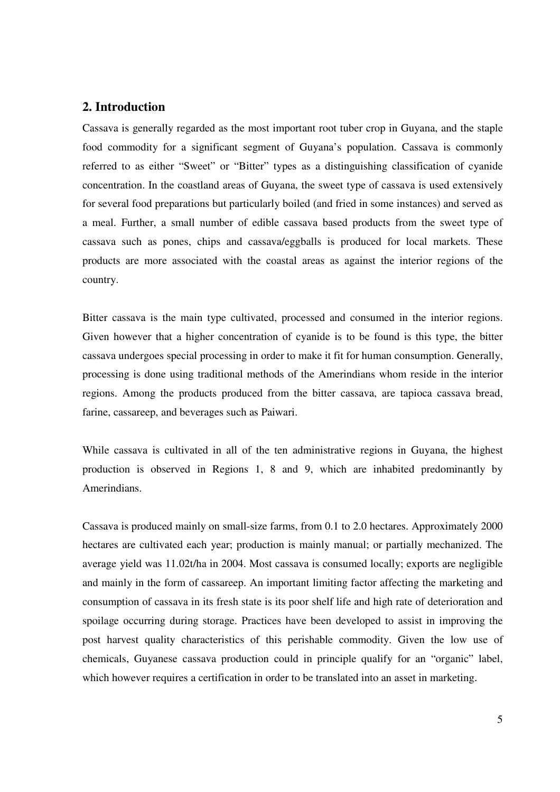## **2. Introduction**

Cassava is generally regarded as the most important root tuber crop in Guyana, and the staple food commodity for a significant segment of Guyana's population. Cassava is commonly referred to as either "Sweet" or "Bitter" types as a distinguishing classification of cyanide concentration. In the coastland areas of Guyana, the sweet type of cassava is used extensively for several food preparations but particularly boiled (and fried in some instances) and served as a meal. Further, a small number of edible cassava based products from the sweet type of cassava such as pones, chips and cassava/eggballs is produced for local markets. These products are more associated with the coastal areas as against the interior regions of the country.

Bitter cassava is the main type cultivated, processed and consumed in the interior regions. Given however that a higher concentration of cyanide is to be found is this type, the bitter cassava undergoes special processing in order to make it fit for human consumption. Generally, processing is done using traditional methods of the Amerindians whom reside in the interior regions. Among the products produced from the bitter cassava, are tapioca cassava bread, farine, cassareep, and beverages such as Paiwari.

While cassava is cultivated in all of the ten administrative regions in Guyana, the highest production is observed in Regions 1, 8 and 9, which are inhabited predominantly by Amerindians.

Cassava is produced mainly on small-size farms, from 0.1 to 2.0 hectares. Approximately 2000 hectares are cultivated each year; production is mainly manual; or partially mechanized. The average yield was 11.02t/ha in 2004. Most cassava is consumed locally; exports are negligible and mainly in the form of cassareep. An important limiting factor affecting the marketing and consumption of cassava in its fresh state is its poor shelf life and high rate of deterioration and spoilage occurring during storage. Practices have been developed to assist in improving the post harvest quality characteristics of this perishable commodity. Given the low use of chemicals, Guyanese cassava production could in principle qualify for an "organic" label, which however requires a certification in order to be translated into an asset in marketing.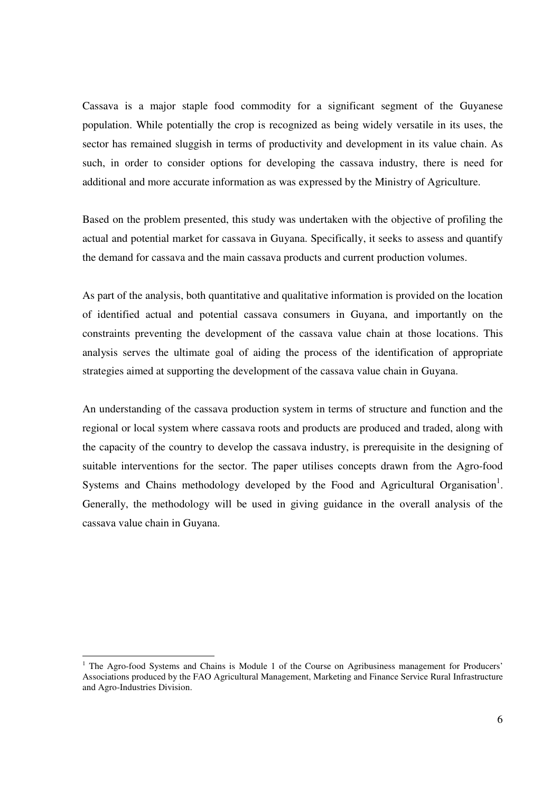Cassava is a major staple food commodity for a significant segment of the Guyanese population. While potentially the crop is recognized as being widely versatile in its uses, the sector has remained sluggish in terms of productivity and development in its value chain. As such, in order to consider options for developing the cassava industry, there is need for additional and more accurate information as was expressed by the Ministry of Agriculture.

Based on the problem presented, this study was undertaken with the objective of profiling the actual and potential market for cassava in Guyana. Specifically, it seeks to assess and quantify the demand for cassava and the main cassava products and current production volumes.

As part of the analysis, both quantitative and qualitative information is provided on the location of identified actual and potential cassava consumers in Guyana, and importantly on the constraints preventing the development of the cassava value chain at those locations. This analysis serves the ultimate goal of aiding the process of the identification of appropriate strategies aimed at supporting the development of the cassava value chain in Guyana.

An understanding of the cassava production system in terms of structure and function and the regional or local system where cassava roots and products are produced and traded, along with the capacity of the country to develop the cassava industry, is prerequisite in the designing of suitable interventions for the sector. The paper utilises concepts drawn from the Agro-food Systems and Chains methodology developed by the Food and Agricultural Organisation<sup>1</sup>. Generally, the methodology will be used in giving guidance in the overall analysis of the cassava value chain in Guyana.

The Agro-food Systems and Chains is Module 1 of the Course on Agribusiness management for Producers' Associations produced by the FAO Agricultural Management, Marketing and Finance Service Rural Infrastructure and Agro-Industries Division.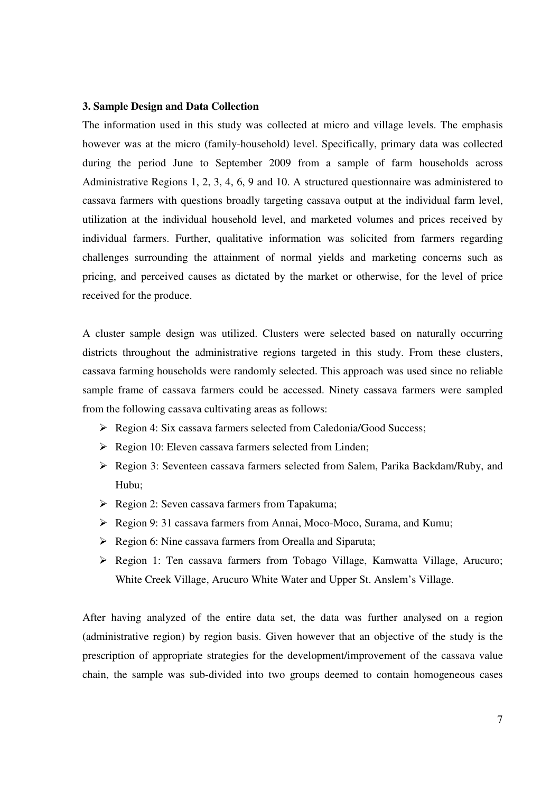#### **3. Sample Design and Data Collection**

The information used in this study was collected at micro and village levels. The emphasis however was at the micro (family-household) level. Specifically, primary data was collected during the period June to September 2009 from a sample of farm households across Administrative Regions 1, 2, 3, 4, 6, 9 and 10. A structured questionnaire was administered to cassava farmers with questions broadly targeting cassava output at the individual farm level, utilization at the individual household level, and marketed volumes and prices received by individual farmers. Further, qualitative information was solicited from farmers regarding challenges surrounding the attainment of normal yields and marketing concerns such as pricing, and perceived causes as dictated by the market or otherwise, for the level of price received for the produce.

A cluster sample design was utilized. Clusters were selected based on naturally occurring districts throughout the administrative regions targeted in this study. From these clusters, cassava farming households were randomly selected. This approach was used since no reliable sample frame of cassava farmers could be accessed. Ninety cassava farmers were sampled from the following cassava cultivating areas as follows:

- ▶ Region 4: Six cassava farmers selected from Caledonia/Good Success;
- $\triangleright$  Region 10: Eleven cassava farmers selected from Linden;
- Region 3: Seventeen cassava farmers selected from Salem, Parika Backdam/Ruby, and Hubu;
- $\triangleright$  Region 2: Seven cassava farmers from Tapakuma;
- Region 9: 31 cassava farmers from Annai, Moco-Moco, Surama, and Kumu;
- $\triangleright$  Region 6: Nine cassava farmers from Orealla and Siparuta;
- Region 1: Ten cassava farmers from Tobago Village, Kamwatta Village, Arucuro; White Creek Village, Arucuro White Water and Upper St. Anslem's Village.

After having analyzed of the entire data set, the data was further analysed on a region (administrative region) by region basis. Given however that an objective of the study is the prescription of appropriate strategies for the development/improvement of the cassava value chain, the sample was sub-divided into two groups deemed to contain homogeneous cases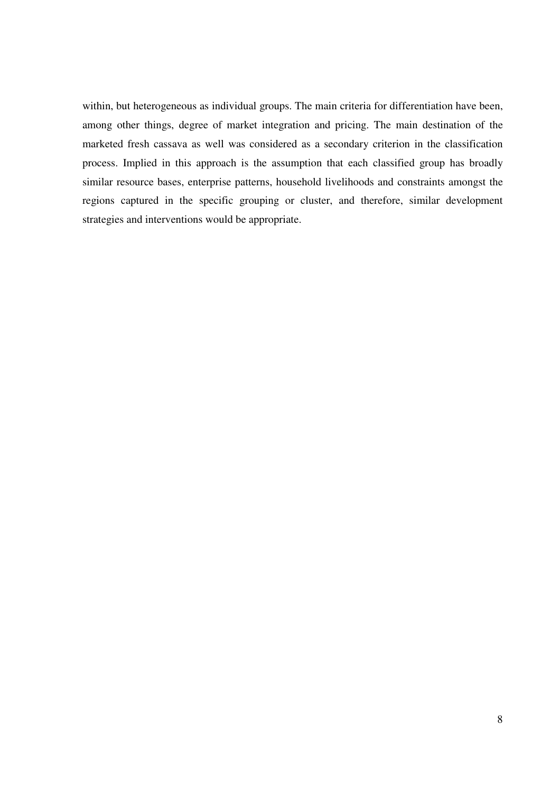within, but heterogeneous as individual groups. The main criteria for differentiation have been, among other things, degree of market integration and pricing. The main destination of the marketed fresh cassava as well was considered as a secondary criterion in the classification process. Implied in this approach is the assumption that each classified group has broadly similar resource bases, enterprise patterns, household livelihoods and constraints amongst the regions captured in the specific grouping or cluster, and therefore, similar development strategies and interventions would be appropriate.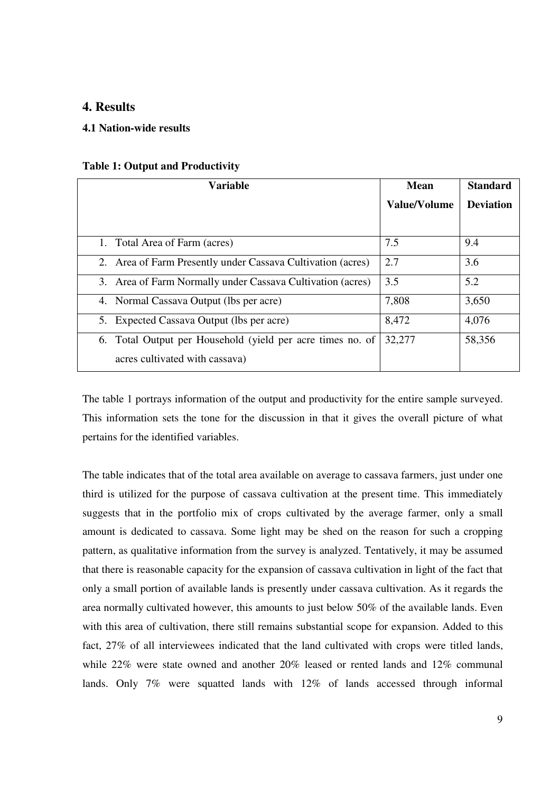## **4. Results**

### **4.1 Nation-wide results**

### **Table 1: Output and Productivity**

| <b>Variable</b>                                             | <b>Mean</b>  | <b>Standard</b>  |
|-------------------------------------------------------------|--------------|------------------|
|                                                             | Value/Volume | <b>Deviation</b> |
|                                                             |              |                  |
| 1. Total Area of Farm (acres)                               | 7.5          | 9.4              |
| 2. Area of Farm Presently under Cassava Cultivation (acres) | 2.7          | 3.6              |
| 3. Area of Farm Normally under Cassava Cultivation (acres)  | 3.5          | 5.2              |
| 4. Normal Cassava Output (lbs per acre)                     | 7,808        | 3,650            |
| 5. Expected Cassava Output (lbs per acre)                   | 8,472        | 4,076            |
| 6. Total Output per Household (yield per acre times no. of  | 32,277       | 58,356           |
| acres cultivated with cassava)                              |              |                  |

The table 1 portrays information of the output and productivity for the entire sample surveyed. This information sets the tone for the discussion in that it gives the overall picture of what pertains for the identified variables.

The table indicates that of the total area available on average to cassava farmers, just under one third is utilized for the purpose of cassava cultivation at the present time. This immediately suggests that in the portfolio mix of crops cultivated by the average farmer, only a small amount is dedicated to cassava. Some light may be shed on the reason for such a cropping pattern, as qualitative information from the survey is analyzed. Tentatively, it may be assumed that there is reasonable capacity for the expansion of cassava cultivation in light of the fact that only a small portion of available lands is presently under cassava cultivation. As it regards the area normally cultivated however, this amounts to just below 50% of the available lands. Even with this area of cultivation, there still remains substantial scope for expansion. Added to this fact, 27% of all interviewees indicated that the land cultivated with crops were titled lands, while 22% were state owned and another 20% leased or rented lands and 12% communal lands. Only 7% were squatted lands with 12% of lands accessed through informal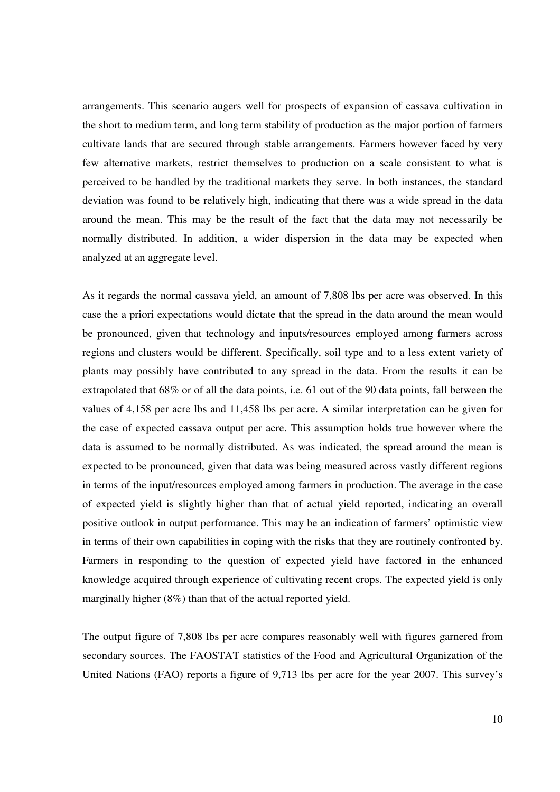arrangements. This scenario augers well for prospects of expansion of cassava cultivation in the short to medium term, and long term stability of production as the major portion of farmers cultivate lands that are secured through stable arrangements. Farmers however faced by very few alternative markets, restrict themselves to production on a scale consistent to what is perceived to be handled by the traditional markets they serve. In both instances, the standard deviation was found to be relatively high, indicating that there was a wide spread in the data around the mean. This may be the result of the fact that the data may not necessarily be normally distributed. In addition, a wider dispersion in the data may be expected when analyzed at an aggregate level.

As it regards the normal cassava yield, an amount of 7,808 lbs per acre was observed. In this case the a priori expectations would dictate that the spread in the data around the mean would be pronounced, given that technology and inputs/resources employed among farmers across regions and clusters would be different. Specifically, soil type and to a less extent variety of plants may possibly have contributed to any spread in the data. From the results it can be extrapolated that 68% or of all the data points, i.e. 61 out of the 90 data points, fall between the values of 4,158 per acre lbs and 11,458 lbs per acre. A similar interpretation can be given for the case of expected cassava output per acre. This assumption holds true however where the data is assumed to be normally distributed. As was indicated, the spread around the mean is expected to be pronounced, given that data was being measured across vastly different regions in terms of the input/resources employed among farmers in production. The average in the case of expected yield is slightly higher than that of actual yield reported, indicating an overall positive outlook in output performance. This may be an indication of farmers' optimistic view in terms of their own capabilities in coping with the risks that they are routinely confronted by. Farmers in responding to the question of expected yield have factored in the enhanced knowledge acquired through experience of cultivating recent crops. The expected yield is only marginally higher (8%) than that of the actual reported yield.

The output figure of 7,808 lbs per acre compares reasonably well with figures garnered from secondary sources. The FAOSTAT statistics of the Food and Agricultural Organization of the United Nations (FAO) reports a figure of 9,713 lbs per acre for the year 2007. This survey's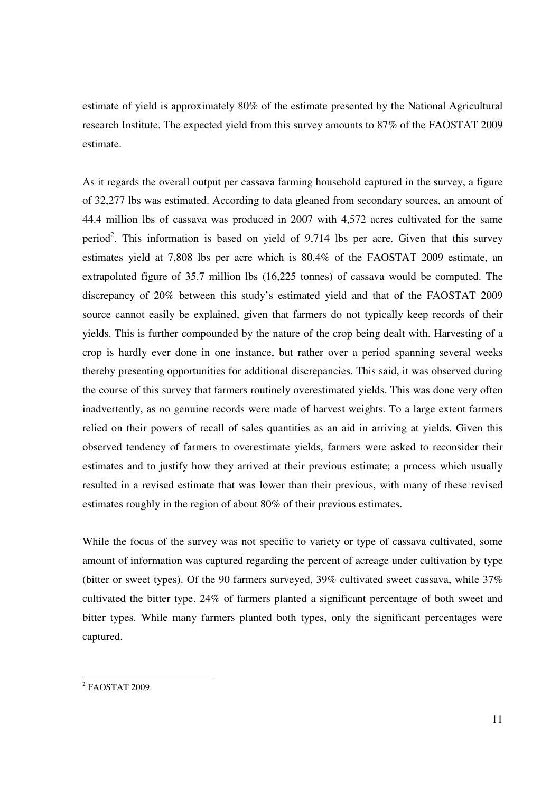estimate of yield is approximately 80% of the estimate presented by the National Agricultural research Institute. The expected yield from this survey amounts to 87% of the FAOSTAT 2009 estimate.

As it regards the overall output per cassava farming household captured in the survey, a figure of 32,277 lbs was estimated. According to data gleaned from secondary sources, an amount of 44.4 million lbs of cassava was produced in 2007 with 4,572 acres cultivated for the same period<sup>2</sup>. This information is based on yield of  $9,714$  lbs per acre. Given that this survey estimates yield at 7,808 lbs per acre which is 80.4% of the FAOSTAT 2009 estimate, an extrapolated figure of 35.7 million lbs (16,225 tonnes) of cassava would be computed. The discrepancy of 20% between this study's estimated yield and that of the FAOSTAT 2009 source cannot easily be explained, given that farmers do not typically keep records of their yields. This is further compounded by the nature of the crop being dealt with. Harvesting of a crop is hardly ever done in one instance, but rather over a period spanning several weeks thereby presenting opportunities for additional discrepancies. This said, it was observed during the course of this survey that farmers routinely overestimated yields. This was done very often inadvertently, as no genuine records were made of harvest weights. To a large extent farmers relied on their powers of recall of sales quantities as an aid in arriving at yields. Given this observed tendency of farmers to overestimate yields, farmers were asked to reconsider their estimates and to justify how they arrived at their previous estimate; a process which usually resulted in a revised estimate that was lower than their previous, with many of these revised estimates roughly in the region of about 80% of their previous estimates.

While the focus of the survey was not specific to variety or type of cassava cultivated, some amount of information was captured regarding the percent of acreage under cultivation by type (bitter or sweet types). Of the 90 farmers surveyed, 39% cultivated sweet cassava, while 37% cultivated the bitter type. 24% of farmers planted a significant percentage of both sweet and bitter types. While many farmers planted both types, only the significant percentages were captured.

 2 FAOSTAT 2009.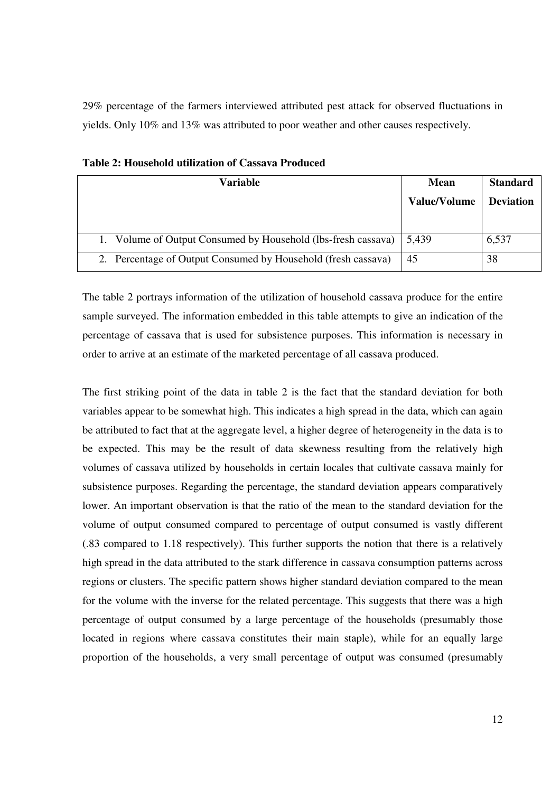29% percentage of the farmers interviewed attributed pest attack for observed fluctuations in yields. Only 10% and 13% was attributed to poor weather and other causes respectively.

| Variable                                                      | <b>Mean</b>         | <b>Standard</b>  |
|---------------------------------------------------------------|---------------------|------------------|
|                                                               | <b>Value/Volume</b> | <b>Deviation</b> |
|                                                               |                     |                  |
| 1. Volume of Output Consumed by Household (lbs-fresh cassava) | 5,439               | 6,537            |
| 2. Percentage of Output Consumed by Household (fresh cassava) | 45                  | 38               |

**Table 2: Household utilization of Cassava Produced** 

The table 2 portrays information of the utilization of household cassava produce for the entire sample surveyed. The information embedded in this table attempts to give an indication of the percentage of cassava that is used for subsistence purposes. This information is necessary in order to arrive at an estimate of the marketed percentage of all cassava produced.

The first striking point of the data in table 2 is the fact that the standard deviation for both variables appear to be somewhat high. This indicates a high spread in the data, which can again be attributed to fact that at the aggregate level, a higher degree of heterogeneity in the data is to be expected. This may be the result of data skewness resulting from the relatively high volumes of cassava utilized by households in certain locales that cultivate cassava mainly for subsistence purposes. Regarding the percentage, the standard deviation appears comparatively lower. An important observation is that the ratio of the mean to the standard deviation for the volume of output consumed compared to percentage of output consumed is vastly different (.83 compared to 1.18 respectively). This further supports the notion that there is a relatively high spread in the data attributed to the stark difference in cassava consumption patterns across regions or clusters. The specific pattern shows higher standard deviation compared to the mean for the volume with the inverse for the related percentage. This suggests that there was a high percentage of output consumed by a large percentage of the households (presumably those located in regions where cassava constitutes their main staple), while for an equally large proportion of the households, a very small percentage of output was consumed (presumably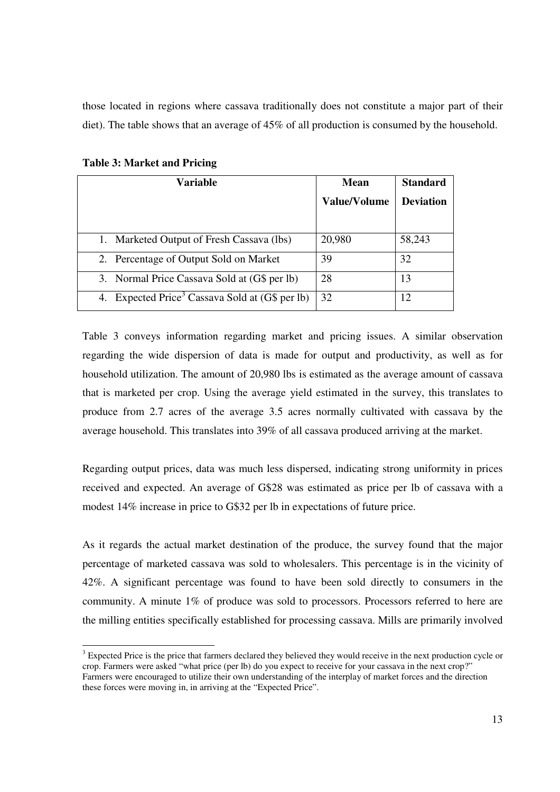those located in regions where cassava traditionally does not constitute a major part of their diet). The table shows that an average of 45% of all production is consumed by the household.

| <b>Variable</b>                                                | <b>Mean</b>         | <b>Standard</b> |  |  |
|----------------------------------------------------------------|---------------------|-----------------|--|--|
|                                                                | <b>Value/Volume</b> |                 |  |  |
|                                                                |                     |                 |  |  |
| 1. Marketed Output of Fresh Cassava (lbs)                      | 20,980              | 58,243          |  |  |
| 2. Percentage of Output Sold on Market                         | 39                  | 32              |  |  |
| 3. Normal Price Cassava Sold at (G\$ per lb)                   | 28                  | 13              |  |  |
| Expected Price <sup>3</sup> Cassava Sold at (G\$ per lb)<br>4. | 32                  | 12              |  |  |

**Table 3: Market and Pricing** 

-

Table 3 conveys information regarding market and pricing issues. A similar observation regarding the wide dispersion of data is made for output and productivity, as well as for household utilization. The amount of 20,980 lbs is estimated as the average amount of cassava that is marketed per crop. Using the average yield estimated in the survey, this translates to produce from 2.7 acres of the average 3.5 acres normally cultivated with cassava by the average household. This translates into 39% of all cassava produced arriving at the market.

Regarding output prices, data was much less dispersed, indicating strong uniformity in prices received and expected. An average of G\$28 was estimated as price per lb of cassava with a modest 14% increase in price to G\$32 per lb in expectations of future price.

As it regards the actual market destination of the produce, the survey found that the major percentage of marketed cassava was sold to wholesalers. This percentage is in the vicinity of 42%. A significant percentage was found to have been sold directly to consumers in the community. A minute 1% of produce was sold to processors. Processors referred to here are the milling entities specifically established for processing cassava. Mills are primarily involved

<sup>&</sup>lt;sup>3</sup> Expected Price is the price that farmers declared they believed they would receive in the next production cycle or crop. Farmers were asked "what price (per lb) do you expect to receive for your cassava in the next crop?" Farmers were encouraged to utilize their own understanding of the interplay of market forces and the direction these forces were moving in, in arriving at the "Expected Price".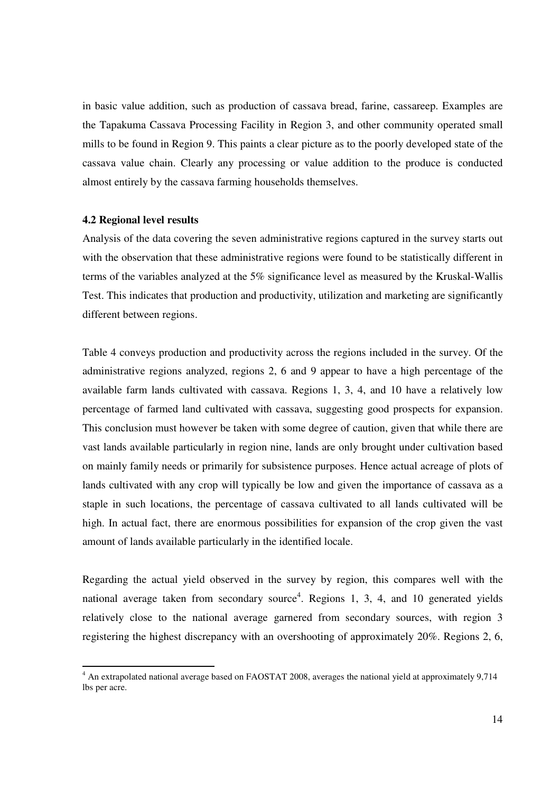in basic value addition, such as production of cassava bread, farine, cassareep. Examples are the Tapakuma Cassava Processing Facility in Region 3, and other community operated small mills to be found in Region 9. This paints a clear picture as to the poorly developed state of the cassava value chain. Clearly any processing or value addition to the produce is conducted almost entirely by the cassava farming households themselves.

#### **4.2 Regional level results**

Analysis of the data covering the seven administrative regions captured in the survey starts out with the observation that these administrative regions were found to be statistically different in terms of the variables analyzed at the 5% significance level as measured by the Kruskal-Wallis Test. This indicates that production and productivity, utilization and marketing are significantly different between regions.

Table 4 conveys production and productivity across the regions included in the survey. Of the administrative regions analyzed, regions 2, 6 and 9 appear to have a high percentage of the available farm lands cultivated with cassava. Regions 1, 3, 4, and 10 have a relatively low percentage of farmed land cultivated with cassava, suggesting good prospects for expansion. This conclusion must however be taken with some degree of caution, given that while there are vast lands available particularly in region nine, lands are only brought under cultivation based on mainly family needs or primarily for subsistence purposes. Hence actual acreage of plots of lands cultivated with any crop will typically be low and given the importance of cassava as a staple in such locations, the percentage of cassava cultivated to all lands cultivated will be high. In actual fact, there are enormous possibilities for expansion of the crop given the vast amount of lands available particularly in the identified locale.

Regarding the actual yield observed in the survey by region, this compares well with the national average taken from secondary source<sup>4</sup>. Regions 1, 3, 4, and 10 generated yields relatively close to the national average garnered from secondary sources, with region 3 registering the highest discrepancy with an overshooting of approximately 20%. Regions 2, 6,

 4 An extrapolated national average based on FAOSTAT 2008, averages the national yield at approximately 9,714 lbs per acre.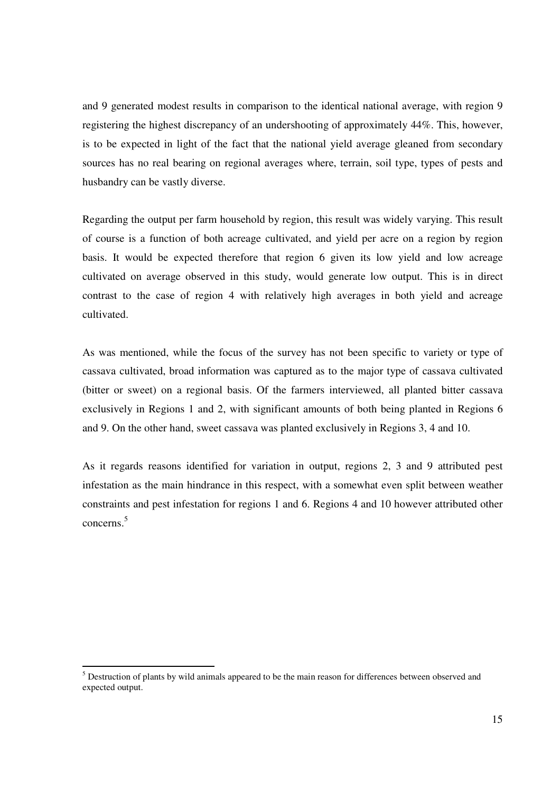and 9 generated modest results in comparison to the identical national average, with region 9 registering the highest discrepancy of an undershooting of approximately 44%. This, however, is to be expected in light of the fact that the national yield average gleaned from secondary sources has no real bearing on regional averages where, terrain, soil type, types of pests and husbandry can be vastly diverse.

Regarding the output per farm household by region, this result was widely varying. This result of course is a function of both acreage cultivated, and yield per acre on a region by region basis. It would be expected therefore that region 6 given its low yield and low acreage cultivated on average observed in this study, would generate low output. This is in direct contrast to the case of region 4 with relatively high averages in both yield and acreage cultivated.

As was mentioned, while the focus of the survey has not been specific to variety or type of cassava cultivated, broad information was captured as to the major type of cassava cultivated (bitter or sweet) on a regional basis. Of the farmers interviewed, all planted bitter cassava exclusively in Regions 1 and 2, with significant amounts of both being planted in Regions 6 and 9. On the other hand, sweet cassava was planted exclusively in Regions 3, 4 and 10.

As it regards reasons identified for variation in output, regions 2, 3 and 9 attributed pest infestation as the main hindrance in this respect, with a somewhat even split between weather constraints and pest infestation for regions 1 and 6. Regions 4 and 10 however attributed other concerns.<sup>5</sup>

<sup>-</sup><sup>5</sup> Destruction of plants by wild animals appeared to be the main reason for differences between observed and expected output.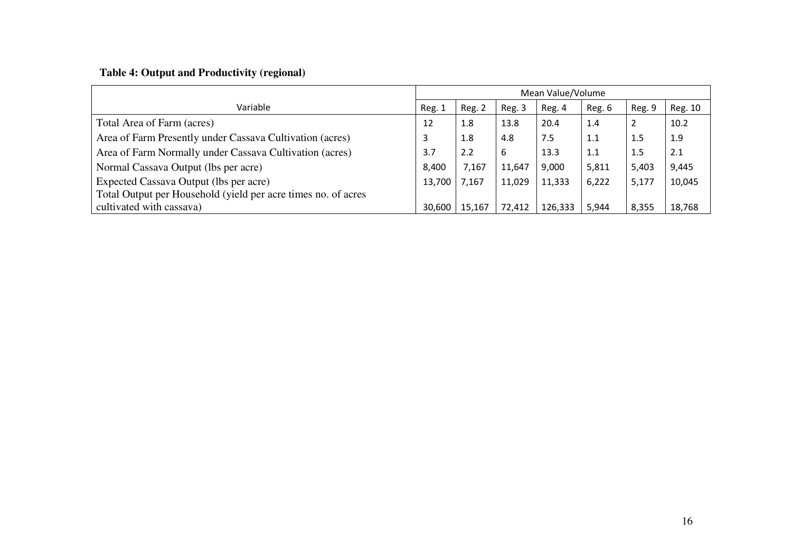## **Table 4: Output and Productivity (regional)**

|                                                               | Mean Value/Volume |        |        |         |        |        |         |
|---------------------------------------------------------------|-------------------|--------|--------|---------|--------|--------|---------|
| Variable                                                      | Reg. 1            | Reg. 2 | Reg. 3 | Reg. 4  | Reg. 6 | Reg. 9 | Reg. 10 |
| Total Area of Farm (acres)                                    | 12                | 1.8    | 13.8   | 20.4    | 1.4    | 2      | 10.2    |
| Area of Farm Presently under Cassava Cultivation (acres)      |                   | 1.8    | 4.8    | 7.5     | 1.1    | 1.5    | 1.9     |
| Area of Farm Normally under Cassava Cultivation (acres)       |                   | 2.2    | 6      | 13.3    | 1.1    | 1.5    | 2.1     |
| Normal Cassava Output (lbs per acre)                          |                   | 7,167  | 11,647 | 9,000   | 5,811  | 5,403  | 9,445   |
| Expected Cassava Output (lbs per acre)                        |                   | 7,167  | 11,029 | 11,333  | 6,222  | 5,177  | 10,045  |
| Total Output per Household (yield per acre times no. of acres |                   |        |        |         |        |        |         |
| cultivated with cassava)                                      | 30,600            | 15,167 | 72,412 | 126,333 | 5,944  | 8,355  | 18,768  |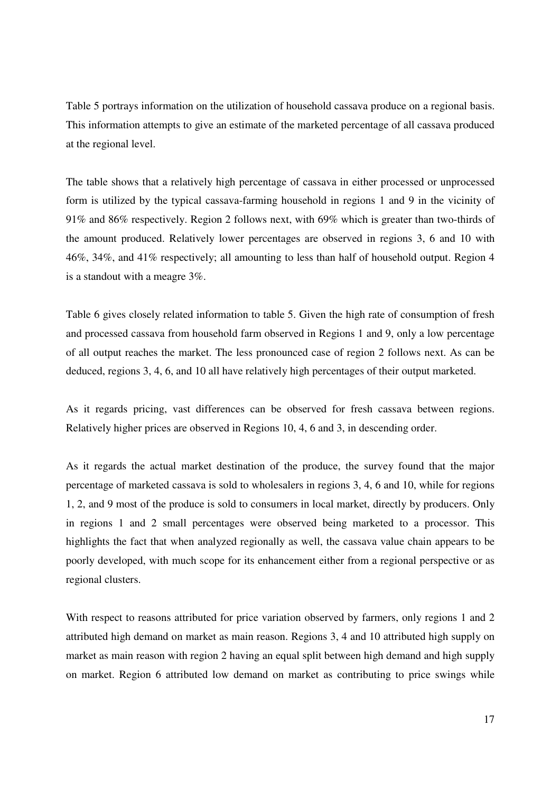Table 5 portrays information on the utilization of household cassava produce on a regional basis. This information attempts to give an estimate of the marketed percentage of all cassava produced at the regional level.

The table shows that a relatively high percentage of cassava in either processed or unprocessed form is utilized by the typical cassava-farming household in regions 1 and 9 in the vicinity of 91% and 86% respectively. Region 2 follows next, with 69% which is greater than two-thirds of the amount produced. Relatively lower percentages are observed in regions 3, 6 and 10 with 46%, 34%, and 41% respectively; all amounting to less than half of household output. Region 4 is a standout with a meagre 3%.

Table 6 gives closely related information to table 5. Given the high rate of consumption of fresh and processed cassava from household farm observed in Regions 1 and 9, only a low percentage of all output reaches the market. The less pronounced case of region 2 follows next. As can be deduced, regions 3, 4, 6, and 10 all have relatively high percentages of their output marketed.

As it regards pricing, vast differences can be observed for fresh cassava between regions. Relatively higher prices are observed in Regions 10, 4, 6 and 3, in descending order.

As it regards the actual market destination of the produce, the survey found that the major percentage of marketed cassava is sold to wholesalers in regions 3, 4, 6 and 10, while for regions 1, 2, and 9 most of the produce is sold to consumers in local market, directly by producers. Only in regions 1 and 2 small percentages were observed being marketed to a processor. This highlights the fact that when analyzed regionally as well, the cassava value chain appears to be poorly developed, with much scope for its enhancement either from a regional perspective or as regional clusters.

With respect to reasons attributed for price variation observed by farmers, only regions 1 and 2 attributed high demand on market as main reason. Regions 3, 4 and 10 attributed high supply on market as main reason with region 2 having an equal split between high demand and high supply on market. Region 6 attributed low demand on market as contributing to price swings while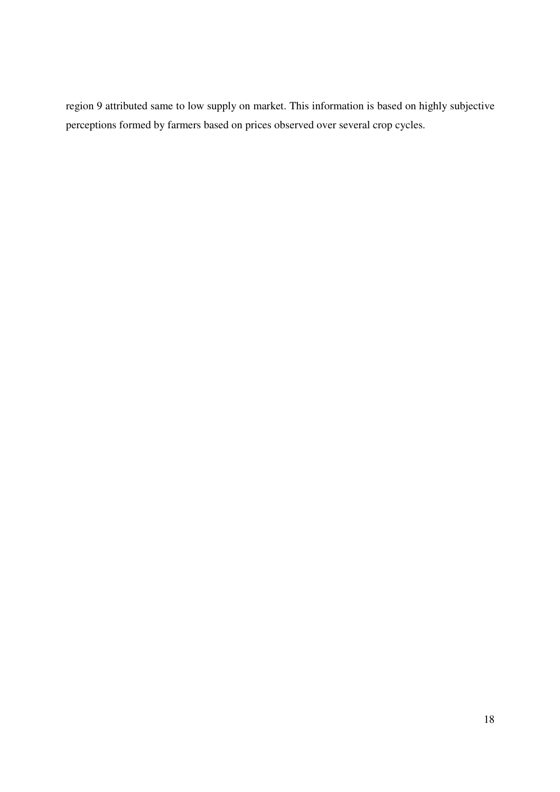region 9 attributed same to low supply on market. This information is based on highly subjective perceptions formed by farmers based on prices observed over several crop cycles.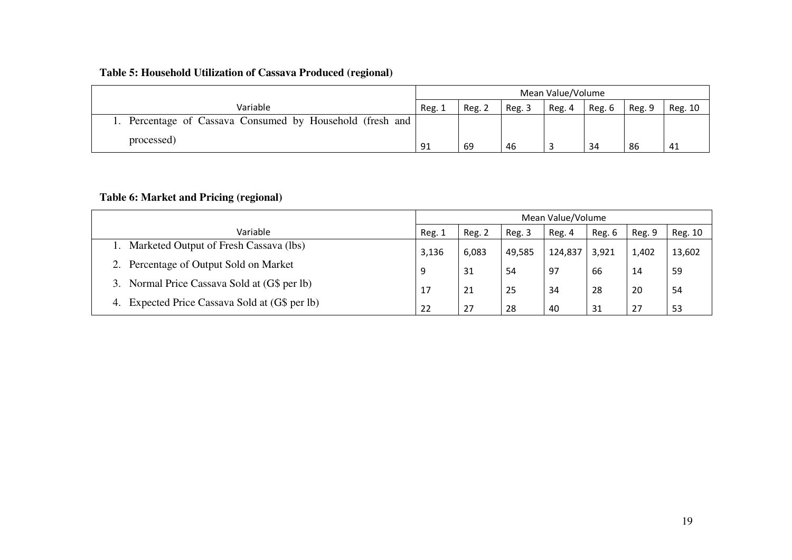## **Table 5: Household Utilization of Cassava Produced (regional)**

|                                                           |        | Mean Value/Volume |        |        |        |        |         |
|-----------------------------------------------------------|--------|-------------------|--------|--------|--------|--------|---------|
| Variable                                                  | Reg. 1 | Reg. 2            | Reg. 3 | Reg. 4 | Reg. 6 | Reg. 9 | Reg. 10 |
| 1. Percentage of Cassava Consumed by Household (fresh and |        |                   |        |        |        |        |         |
| processed)                                                | 91     | 69                | 46     |        | 34     | 86     | -41     |

## **Table 6: Market and Pricing (regional)**

|                                                   | Mean Value/Volume |        |        |         |        |        |         |
|---------------------------------------------------|-------------------|--------|--------|---------|--------|--------|---------|
| Variable                                          | Reg. 1            | Reg. 2 | Reg. 3 | Reg. 4  | Reg. 6 | Reg. 9 | Reg. 10 |
| Marketed Output of Fresh Cassava (lbs)            | 3,136             | 6,083  | 49,585 | 124,837 | 3,921  | 1,402  | 13,602  |
| Percentage of Output Sold on Market               | 9                 | 31     | 54     | 97      | 66     | 14     | -59     |
| 3. Normal Price Cassava Sold at (G\$ per lb)      | 17                | 21     | 25     | 34      | 28     | 20     | -54     |
| Expected Price Cassava Sold at (G\$ per lb)<br>4. | 22                | 27     | 28     | 40      | 31     | 27     | 53      |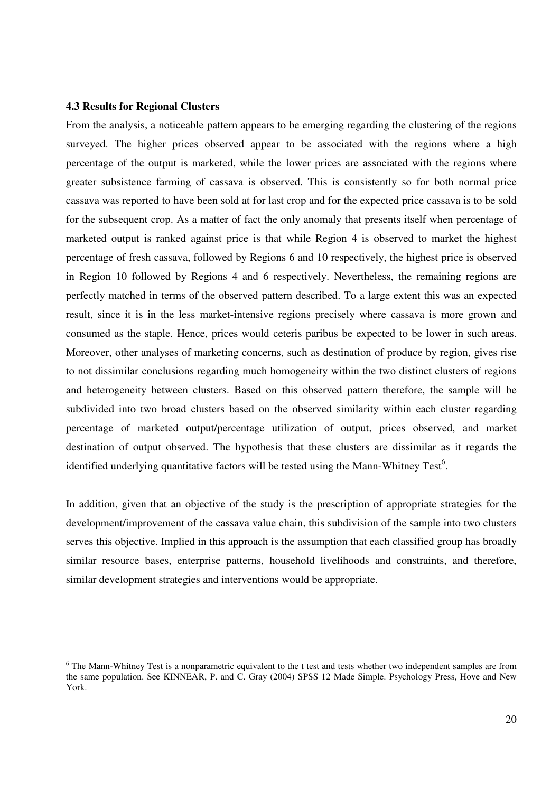#### **4.3 Results for Regional Clusters**

-

From the analysis, a noticeable pattern appears to be emerging regarding the clustering of the regions surveyed. The higher prices observed appear to be associated with the regions where a high percentage of the output is marketed, while the lower prices are associated with the regions where greater subsistence farming of cassava is observed. This is consistently so for both normal price cassava was reported to have been sold at for last crop and for the expected price cassava is to be sold for the subsequent crop. As a matter of fact the only anomaly that presents itself when percentage of marketed output is ranked against price is that while Region 4 is observed to market the highest percentage of fresh cassava, followed by Regions 6 and 10 respectively, the highest price is observed in Region 10 followed by Regions 4 and 6 respectively. Nevertheless, the remaining regions are perfectly matched in terms of the observed pattern described. To a large extent this was an expected result, since it is in the less market-intensive regions precisely where cassava is more grown and consumed as the staple. Hence, prices would ceteris paribus be expected to be lower in such areas. Moreover, other analyses of marketing concerns, such as destination of produce by region, gives rise to not dissimilar conclusions regarding much homogeneity within the two distinct clusters of regions and heterogeneity between clusters. Based on this observed pattern therefore, the sample will be subdivided into two broad clusters based on the observed similarity within each cluster regarding percentage of marketed output/percentage utilization of output, prices observed, and market destination of output observed. The hypothesis that these clusters are dissimilar as it regards the identified underlying quantitative factors will be tested using the Mann-Whitney Test<sup>6</sup>.

In addition, given that an objective of the study is the prescription of appropriate strategies for the development/improvement of the cassava value chain, this subdivision of the sample into two clusters serves this objective. Implied in this approach is the assumption that each classified group has broadly similar resource bases, enterprise patterns, household livelihoods and constraints, and therefore, similar development strategies and interventions would be appropriate.

<sup>&</sup>lt;sup>6</sup> The Mann-Whitney Test is a nonparametric equivalent to the t test and tests whether two independent samples are from the same population. See KINNEAR, P. and C. Gray (2004) SPSS 12 Made Simple. Psychology Press, Hove and New York.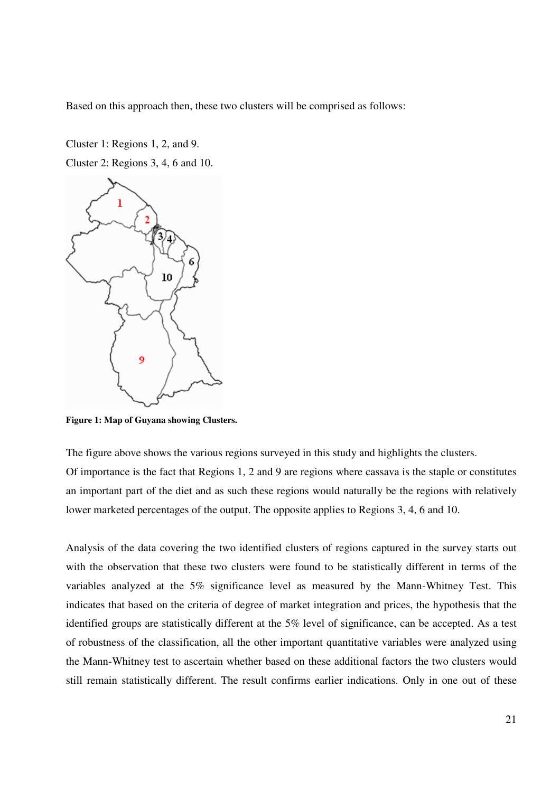Based on this approach then, these two clusters will be comprised as follows:

Cluster 1: Regions 1, 2, and 9. Cluster 2: Regions 3, 4, 6 and 10.



**Figure 1: Map of Guyana showing Clusters.** 

The figure above shows the various regions surveyed in this study and highlights the clusters. Of importance is the fact that Regions 1, 2 and 9 are regions where cassava is the staple or constitutes an important part of the diet and as such these regions would naturally be the regions with relatively lower marketed percentages of the output. The opposite applies to Regions 3, 4, 6 and 10.

Analysis of the data covering the two identified clusters of regions captured in the survey starts out with the observation that these two clusters were found to be statistically different in terms of the variables analyzed at the 5% significance level as measured by the Mann-Whitney Test. This indicates that based on the criteria of degree of market integration and prices, the hypothesis that the identified groups are statistically different at the 5% level of significance, can be accepted. As a test of robustness of the classification, all the other important quantitative variables were analyzed using the Mann-Whitney test to ascertain whether based on these additional factors the two clusters would still remain statistically different. The result confirms earlier indications. Only in one out of these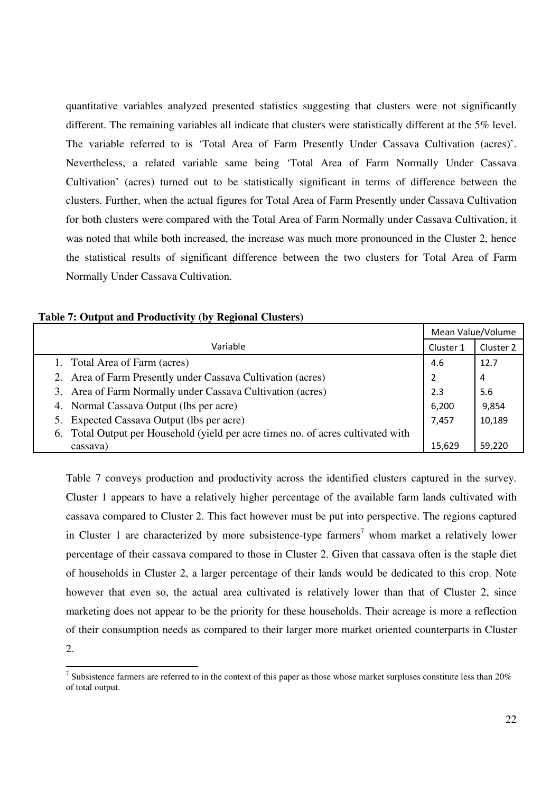quantitative variables analyzed presented statistics suggesting that clusters were not significantly different. The remaining variables all indicate that clusters were statistically different at the 5% level. The variable referred to is 'Total Area of Farm Presently Under Cassava Cultivation (acres)'. Nevertheless, a related variable same being 'Total Area of Farm Normally Under Cassava Cultivation' (acres) turned out to be statistically significant in terms of difference between the clusters. Further, when the actual figures for Total Area of Farm Presently under Cassava Cultivation for both clusters were compared with the Total Area of Farm Normally under Cassava Cultivation, it was noted that while both increased, the increase was much more pronounced in the Cluster 2, hence the statistical results of significant difference between the two clusters for Total Area of Farm Normally Under Cassava Cultivation.

|                                                                                     |           | Mean Value/Volume |
|-------------------------------------------------------------------------------------|-----------|-------------------|
| Variable                                                                            | Cluster 1 | Cluster 2         |
| 1. Total Area of Farm (acres)                                                       | 4.6       | 12.7              |
| 2. Area of Farm Presently under Cassava Cultivation (acres)                         | 2         | 4                 |
| 3. Area of Farm Normally under Cassava Cultivation (acres)                          | 2.3       | 5.6               |
| 4. Normal Cassava Output (lbs per acre)                                             | 6,200     | 9,854             |
| Expected Cassava Output (lbs per acre)<br>5.                                        | 7,457     | 10,189            |
| Total Output per Household (yield per acre times no. of acres cultivated with<br>6. |           |                   |
| cassava)                                                                            | 15.629    | 59,220            |

**Table 7: Output and Productivity (by Regional Clusters)** 

-

Table 7 conveys production and productivity across the identified clusters captured in the survey. Cluster 1 appears to have a relatively higher percentage of the available farm lands cultivated with cassava compared to Cluster 2. This fact however must be put into perspective. The regions captured in Cluster 1 are characterized by more subsistence-type farmers<sup>7</sup> whom market a relatively lower percentage of their cassava compared to those in Cluster 2. Given that cassava often is the staple diet of households in Cluster 2, a larger percentage of their lands would be dedicated to this crop. Note however that even so, the actual area cultivated is relatively lower than that of Cluster 2, since marketing does not appear to be the priority for these households. Their acreage is more a reflection of their consumption needs as compared to their larger more market oriented counterparts in Cluster 2.

<sup>&</sup>lt;sup>7</sup> Subsistence farmers are referred to in the context of this paper as those whose market surpluses constitute less than  $20\%$ of total output.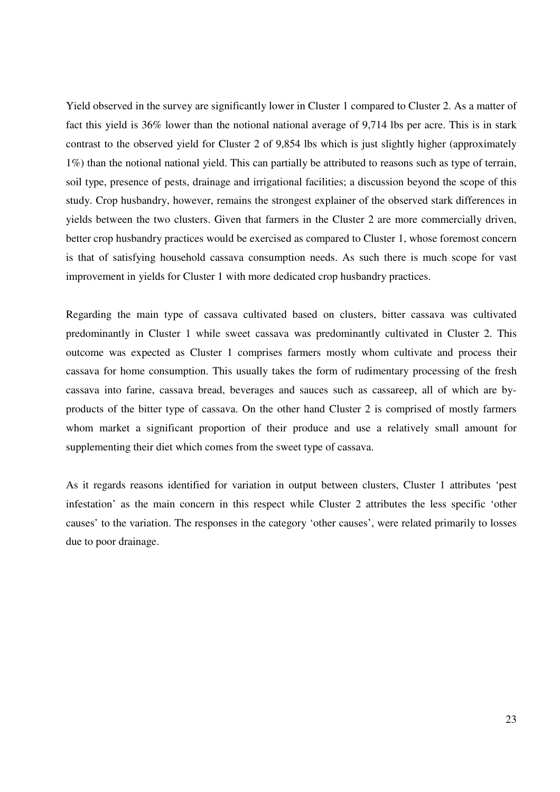Yield observed in the survey are significantly lower in Cluster 1 compared to Cluster 2. As a matter of fact this yield is 36% lower than the notional national average of 9,714 lbs per acre. This is in stark contrast to the observed yield for Cluster 2 of 9,854 lbs which is just slightly higher (approximately 1%) than the notional national yield. This can partially be attributed to reasons such as type of terrain, soil type, presence of pests, drainage and irrigational facilities; a discussion beyond the scope of this study. Crop husbandry, however, remains the strongest explainer of the observed stark differences in yields between the two clusters. Given that farmers in the Cluster 2 are more commercially driven, better crop husbandry practices would be exercised as compared to Cluster 1, whose foremost concern is that of satisfying household cassava consumption needs. As such there is much scope for vast improvement in yields for Cluster 1 with more dedicated crop husbandry practices.

Regarding the main type of cassava cultivated based on clusters, bitter cassava was cultivated predominantly in Cluster 1 while sweet cassava was predominantly cultivated in Cluster 2. This outcome was expected as Cluster 1 comprises farmers mostly whom cultivate and process their cassava for home consumption. This usually takes the form of rudimentary processing of the fresh cassava into farine, cassava bread, beverages and sauces such as cassareep, all of which are byproducts of the bitter type of cassava. On the other hand Cluster 2 is comprised of mostly farmers whom market a significant proportion of their produce and use a relatively small amount for supplementing their diet which comes from the sweet type of cassava.

As it regards reasons identified for variation in output between clusters, Cluster 1 attributes 'pest infestation' as the main concern in this respect while Cluster 2 attributes the less specific 'other causes' to the variation. The responses in the category 'other causes', were related primarily to losses due to poor drainage.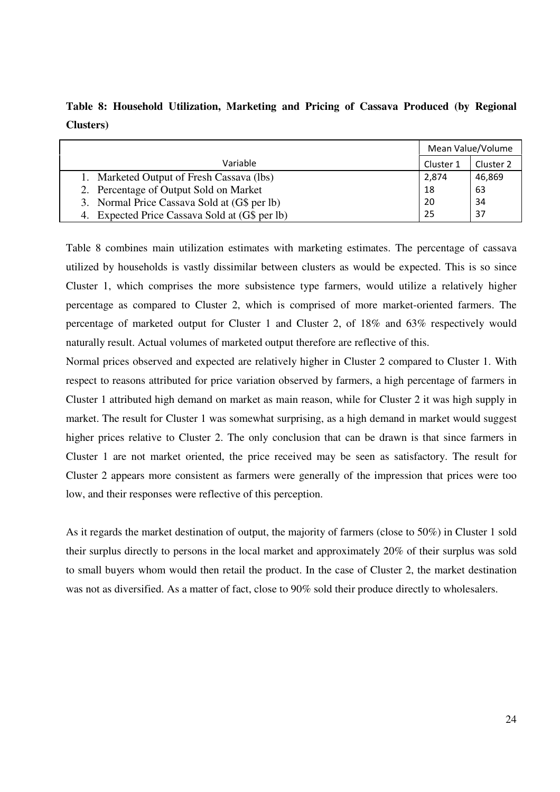**Table 8: Household Utilization, Marketing and Pricing of Cassava Produced (by Regional Clusters)** 

|                                                | Mean Value/Volume |           |  |
|------------------------------------------------|-------------------|-----------|--|
| Variable                                       | Cluster 1         | Cluster 2 |  |
| 1. Marketed Output of Fresh Cassava (lbs)      | 2,874             | 46,869    |  |
| 2. Percentage of Output Sold on Market         | 18                | 63        |  |
| 3. Normal Price Cassava Sold at (G\$ per lb)   | 20                | 34        |  |
| 4. Expected Price Cassava Sold at (G\$ per lb) | 25                | 37        |  |

Table 8 combines main utilization estimates with marketing estimates. The percentage of cassava utilized by households is vastly dissimilar between clusters as would be expected. This is so since Cluster 1, which comprises the more subsistence type farmers, would utilize a relatively higher percentage as compared to Cluster 2, which is comprised of more market-oriented farmers. The percentage of marketed output for Cluster 1 and Cluster 2, of 18% and 63% respectively would naturally result. Actual volumes of marketed output therefore are reflective of this.

Normal prices observed and expected are relatively higher in Cluster 2 compared to Cluster 1. With respect to reasons attributed for price variation observed by farmers, a high percentage of farmers in Cluster 1 attributed high demand on market as main reason, while for Cluster 2 it was high supply in market. The result for Cluster 1 was somewhat surprising, as a high demand in market would suggest higher prices relative to Cluster 2. The only conclusion that can be drawn is that since farmers in Cluster 1 are not market oriented, the price received may be seen as satisfactory. The result for Cluster 2 appears more consistent as farmers were generally of the impression that prices were too low, and their responses were reflective of this perception.

As it regards the market destination of output, the majority of farmers (close to 50%) in Cluster 1 sold their surplus directly to persons in the local market and approximately 20% of their surplus was sold to small buyers whom would then retail the product. In the case of Cluster 2, the market destination was not as diversified. As a matter of fact, close to 90% sold their produce directly to wholesalers.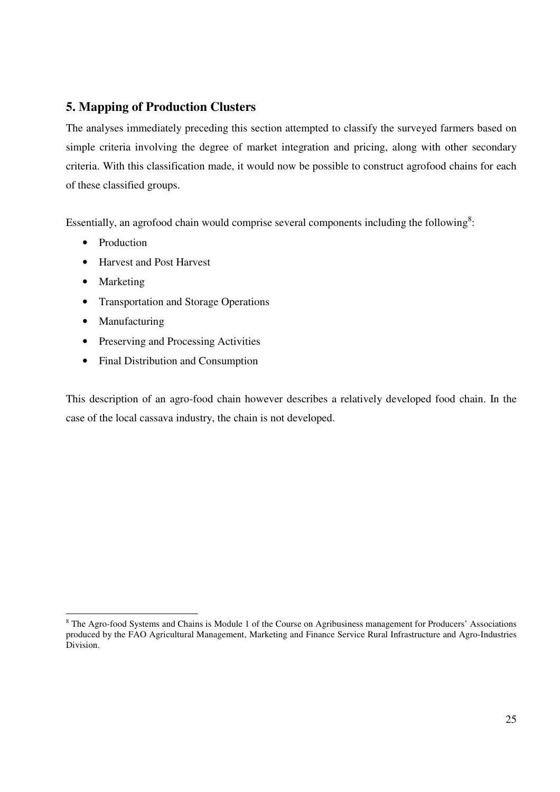## **5. Mapping of Production Clusters**

The analyses immediately preceding this section attempted to classify the surveyed farmers based on simple criteria involving the degree of market integration and pricing, along with other secondary criteria. With this classification made, it would now be possible to construct agrofood chains for each of these classified groups.

Essentially, an agrofood chain would comprise several components including the following<sup>8</sup>:

- Production
- Harvest and Post Harvest
- Marketing
- Transportation and Storage Operations
- Manufacturing
- Preserving and Processing Activities
- Final Distribution and Consumption

This description of an agro-food chain however describes a relatively developed food chain. In the case of the local cassava industry, the chain is not developed.

<sup>&</sup>lt;sup>8</sup> The Agro-food Systems and Chains is Module 1 of the Course on Agribusiness management for Producers' Associations produced by the FAO Agricultural Management, Marketing and Finance Service Rural Infrastructure and Agro-Industries Division.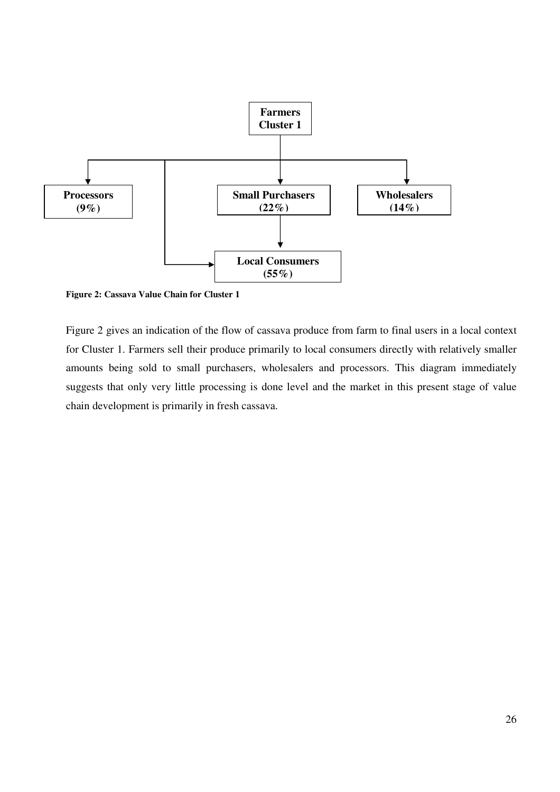

**Figure 2: Cassava Value Chain for Cluster 1** 

Figure 2 gives an indication of the flow of cassava produce from farm to final users in a local context for Cluster 1. Farmers sell their produce primarily to local consumers directly with relatively smaller amounts being sold to small purchasers, wholesalers and processors. This diagram immediately suggests that only very little processing is done level and the market in this present stage of value chain development is primarily in fresh cassava.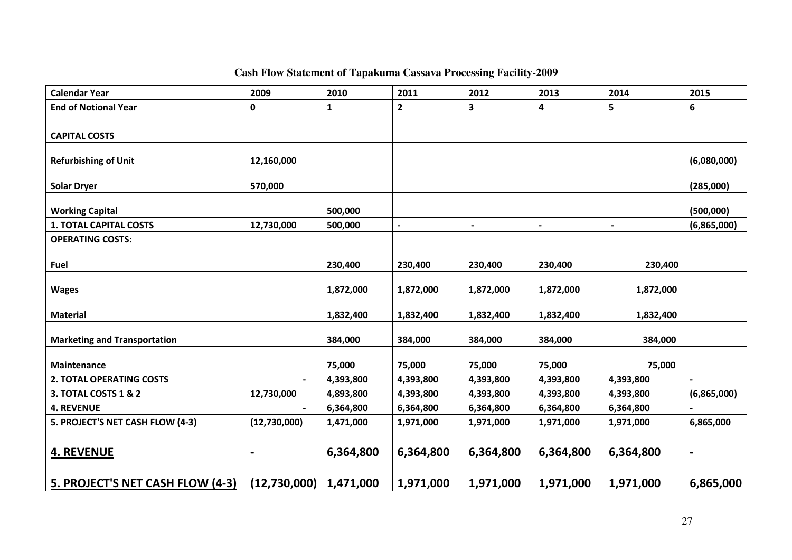## **Cash Flow Statement of Tapakuma Cassava Processing Facility-2009**

| <b>Calendar Year</b>                    | 2009                       | 2010      | 2011         | 2012           | 2013      | 2014                     | 2015        |
|-----------------------------------------|----------------------------|-----------|--------------|----------------|-----------|--------------------------|-------------|
| <b>End of Notional Year</b>             | 0                          | 1         | $\mathbf{2}$ | 3              | 4         | 5                        | 6           |
|                                         |                            |           |              |                |           |                          |             |
| <b>CAPITAL COSTS</b>                    |                            |           |              |                |           |                          |             |
|                                         |                            |           |              |                |           |                          |             |
| <b>Refurbishing of Unit</b>             | 12,160,000                 |           |              |                |           |                          | (6,080,000) |
| <b>Solar Dryer</b>                      | 570,000                    |           |              |                |           |                          | (285,000)   |
| <b>Working Capital</b>                  |                            | 500,000   |              |                |           |                          | (500,000)   |
| <b>1. TOTAL CAPITAL COSTS</b>           | 12,730,000                 | 500,000   |              | $\blacksquare$ |           | $\overline{\phantom{a}}$ | (6,865,000) |
| <b>OPERATING COSTS:</b>                 |                            |           |              |                |           |                          |             |
|                                         |                            |           |              |                |           |                          |             |
| <b>Fuel</b>                             |                            | 230,400   | 230,400      | 230,400        | 230,400   | 230,400                  |             |
| <b>Wages</b>                            |                            | 1,872,000 | 1,872,000    | 1,872,000      | 1,872,000 | 1,872,000                |             |
|                                         |                            |           |              |                |           |                          |             |
| <b>Material</b>                         |                            | 1,832,400 | 1,832,400    | 1,832,400      | 1,832,400 | 1,832,400                |             |
|                                         |                            |           |              |                |           |                          |             |
| <b>Marketing and Transportation</b>     |                            | 384,000   | 384,000      | 384,000        | 384,000   | 384,000                  |             |
| <b>Maintenance</b>                      |                            | 75,000    | 75,000       | 75,000         | 75,000    | 75,000                   |             |
| <b>2. TOTAL OPERATING COSTS</b>         |                            | 4,393,800 | 4,393,800    | 4,393,800      | 4,393,800 | 4,393,800                |             |
| 3. TOTAL COSTS 1 & 2                    | 12,730,000                 | 4,893,800 | 4,393,800    | 4,393,800      | 4,393,800 | 4,393,800                | (6,865,000) |
| <b>4. REVENUE</b>                       |                            | 6,364,800 | 6,364,800    | 6,364,800      | 6,364,800 | 6,364,800                |             |
| 5. PROJECT'S NET CASH FLOW (4-3)        | (12,730,000)               | 1,471,000 | 1,971,000    | 1,971,000      | 1,971,000 | 1,971,000                | 6,865,000   |
|                                         |                            |           |              |                |           |                          |             |
| <b>4. REVENUE</b>                       |                            | 6,364,800 | 6,364,800    | 6,364,800      | 6,364,800 | 6,364,800                |             |
|                                         |                            |           |              |                |           |                          |             |
| <u>5. PROJECT'S NET CASH FLOW (4-3)</u> | $(12,730,000)$   1,471,000 |           | 1,971,000    | 1,971,000      | 1,971,000 | 1,971,000                | 6,865,000   |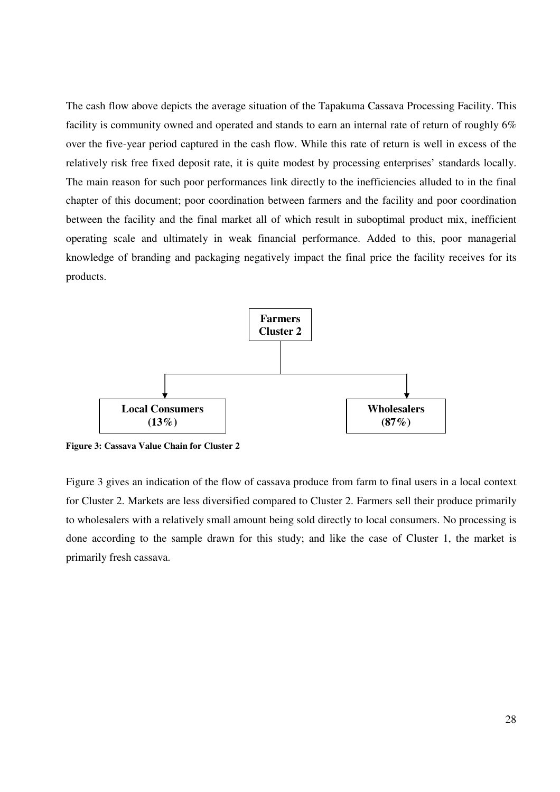The cash flow above depicts the average situation of the Tapakuma Cassava Processing Facility. This facility is community owned and operated and stands to earn an internal rate of return of roughly 6% over the five-year period captured in the cash flow. While this rate of return is well in excess of the relatively risk free fixed deposit rate, it is quite modest by processing enterprises' standards locally. The main reason for such poor performances link directly to the inefficiencies alluded to in the final chapter of this document; poor coordination between farmers and the facility and poor coordination between the facility and the final market all of which result in suboptimal product mix, inefficient operating scale and ultimately in weak financial performance. Added to this, poor managerial knowledge of branding and packaging negatively impact the final price the facility receives for its products.



**Figure 3: Cassava Value Chain for Cluster 2** 

Figure 3 gives an indication of the flow of cassava produce from farm to final users in a local context for Cluster 2. Markets are less diversified compared to Cluster 2. Farmers sell their produce primarily to wholesalers with a relatively small amount being sold directly to local consumers. No processing is done according to the sample drawn for this study; and like the case of Cluster 1, the market is primarily fresh cassava.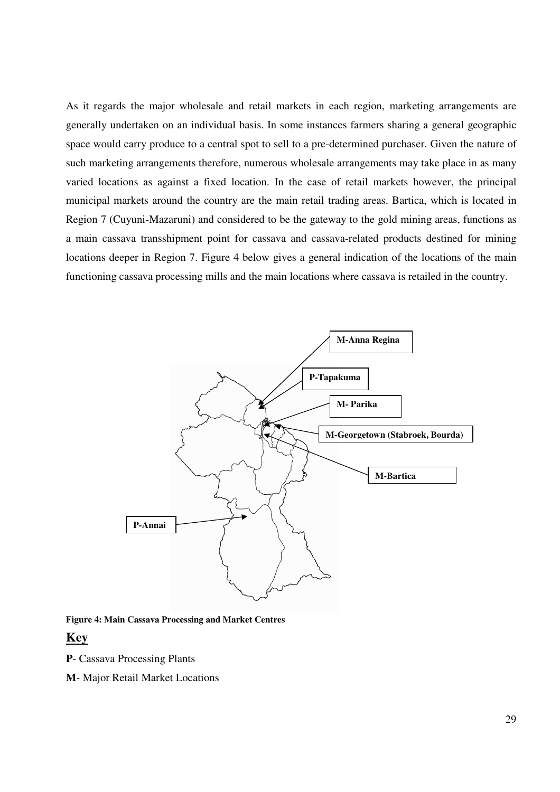As it regards the major wholesale and retail markets in each region, marketing arrangements are generally undertaken on an individual basis. In some instances farmers sharing a general geographic space would carry produce to a central spot to sell to a pre-determined purchaser. Given the nature of such marketing arrangements therefore, numerous wholesale arrangements may take place in as many varied locations as against a fixed location. In the case of retail markets however, the principal municipal markets around the country are the main retail trading areas. Bartica, which is located in Region 7 (Cuyuni-Mazaruni) and considered to be the gateway to the gold mining areas, functions as a main cassava transshipment point for cassava and cassava-related products destined for mining locations deeper in Region 7. Figure 4 below gives a general indication of the locations of the main functioning cassava processing mills and the main locations where cassava is retailed in the country.



#### **Figure 4: Main Cassava Processing and Market Centres**

## **Key**

**P**- Cassava Processing Plants

**M**- Major Retail Market Locations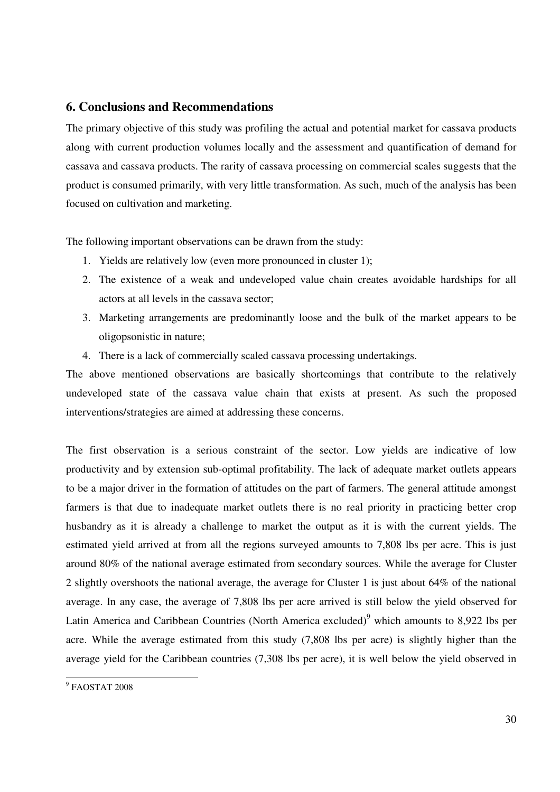## **6. Conclusions and Recommendations**

The primary objective of this study was profiling the actual and potential market for cassava products along with current production volumes locally and the assessment and quantification of demand for cassava and cassava products. The rarity of cassava processing on commercial scales suggests that the product is consumed primarily, with very little transformation. As such, much of the analysis has been focused on cultivation and marketing.

The following important observations can be drawn from the study:

- 1. Yields are relatively low (even more pronounced in cluster 1);
- 2. The existence of a weak and undeveloped value chain creates avoidable hardships for all actors at all levels in the cassava sector;
- 3. Marketing arrangements are predominantly loose and the bulk of the market appears to be oligopsonistic in nature;
- 4. There is a lack of commercially scaled cassava processing undertakings.

The above mentioned observations are basically shortcomings that contribute to the relatively undeveloped state of the cassava value chain that exists at present. As such the proposed interventions/strategies are aimed at addressing these concerns.

The first observation is a serious constraint of the sector. Low yields are indicative of low productivity and by extension sub-optimal profitability. The lack of adequate market outlets appears to be a major driver in the formation of attitudes on the part of farmers. The general attitude amongst farmers is that due to inadequate market outlets there is no real priority in practicing better crop husbandry as it is already a challenge to market the output as it is with the current yields. The estimated yield arrived at from all the regions surveyed amounts to 7,808 lbs per acre. This is just around 80% of the national average estimated from secondary sources. While the average for Cluster 2 slightly overshoots the national average, the average for Cluster 1 is just about 64% of the national average. In any case, the average of 7,808 lbs per acre arrived is still below the yield observed for Latin America and Caribbean Countries (North America excluded) $^9$  which amounts to 8,922 lbs per acre. While the average estimated from this study (7,808 lbs per acre) is slightly higher than the average yield for the Caribbean countries (7,308 lbs per acre), it is well below the yield observed in

 9 FAOSTAT 2008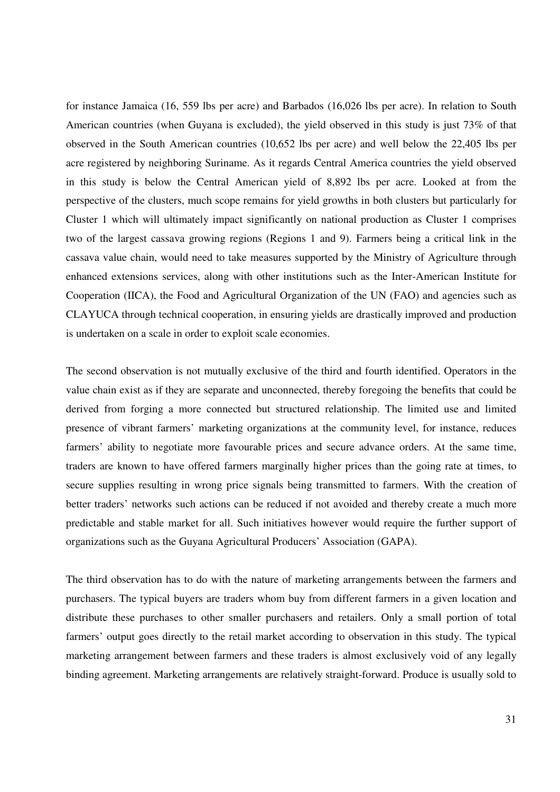for instance Jamaica (16, 559 lbs per acre) and Barbados (16,026 lbs per acre). In relation to South American countries (when Guyana is excluded), the yield observed in this study is just 73% of that observed in the South American countries (10,652 lbs per acre) and well below the 22,405 lbs per acre registered by neighboring Suriname. As it regards Central America countries the yield observed in this study is below the Central American yield of 8,892 lbs per acre. Looked at from the perspective of the clusters, much scope remains for yield growths in both clusters but particularly for Cluster 1 which will ultimately impact significantly on national production as Cluster 1 comprises two of the largest cassava growing regions (Regions 1 and 9). Farmers being a critical link in the cassava value chain, would need to take measures supported by the Ministry of Agriculture through enhanced extensions services, along with other institutions such as the Inter-American Institute for Cooperation (IICA), the Food and Agricultural Organization of the UN (FAO) and agencies such as CLAYUCA through technical cooperation, in ensuring yields are drastically improved and production is undertaken on a scale in order to exploit scale economies.

The second observation is not mutually exclusive of the third and fourth identified. Operators in the value chain exist as if they are separate and unconnected, thereby foregoing the benefits that could be derived from forging a more connected but structured relationship. The limited use and limited presence of vibrant farmers' marketing organizations at the community level, for instance, reduces farmers' ability to negotiate more favourable prices and secure advance orders. At the same time, traders are known to have offered farmers marginally higher prices than the going rate at times, to secure supplies resulting in wrong price signals being transmitted to farmers. With the creation of better traders' networks such actions can be reduced if not avoided and thereby create a much more predictable and stable market for all. Such initiatives however would require the further support of organizations such as the Guyana Agricultural Producers' Association (GAPA).

The third observation has to do with the nature of marketing arrangements between the farmers and purchasers. The typical buyers are traders whom buy from different farmers in a given location and distribute these purchases to other smaller purchasers and retailers. Only a small portion of total farmers' output goes directly to the retail market according to observation in this study. The typical marketing arrangement between farmers and these traders is almost exclusively void of any legally binding agreement. Marketing arrangements are relatively straight-forward. Produce is usually sold to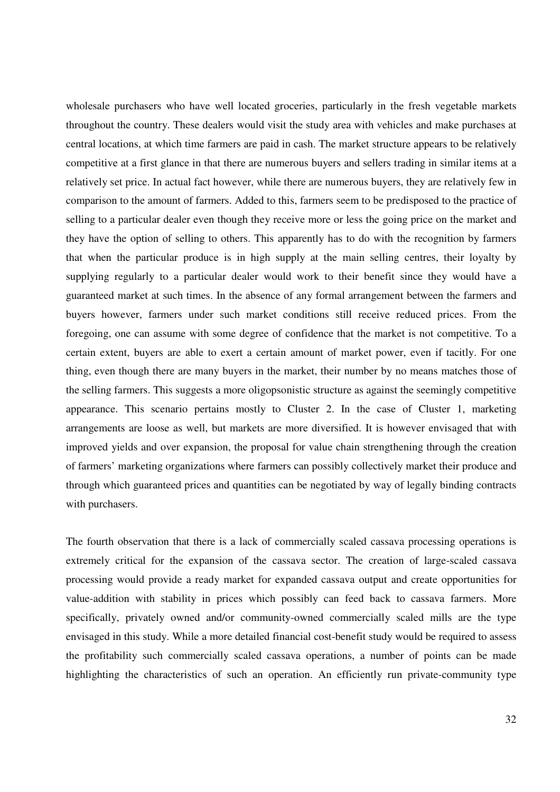wholesale purchasers who have well located groceries, particularly in the fresh vegetable markets throughout the country. These dealers would visit the study area with vehicles and make purchases at central locations, at which time farmers are paid in cash. The market structure appears to be relatively competitive at a first glance in that there are numerous buyers and sellers trading in similar items at a relatively set price. In actual fact however, while there are numerous buyers, they are relatively few in comparison to the amount of farmers. Added to this, farmers seem to be predisposed to the practice of selling to a particular dealer even though they receive more or less the going price on the market and they have the option of selling to others. This apparently has to do with the recognition by farmers that when the particular produce is in high supply at the main selling centres, their loyalty by supplying regularly to a particular dealer would work to their benefit since they would have a guaranteed market at such times. In the absence of any formal arrangement between the farmers and buyers however, farmers under such market conditions still receive reduced prices. From the foregoing, one can assume with some degree of confidence that the market is not competitive. To a certain extent, buyers are able to exert a certain amount of market power, even if tacitly. For one thing, even though there are many buyers in the market, their number by no means matches those of the selling farmers. This suggests a more oligopsonistic structure as against the seemingly competitive appearance. This scenario pertains mostly to Cluster 2. In the case of Cluster 1, marketing arrangements are loose as well, but markets are more diversified. It is however envisaged that with improved yields and over expansion, the proposal for value chain strengthening through the creation of farmers' marketing organizations where farmers can possibly collectively market their produce and through which guaranteed prices and quantities can be negotiated by way of legally binding contracts with purchasers.

The fourth observation that there is a lack of commercially scaled cassava processing operations is extremely critical for the expansion of the cassava sector. The creation of large-scaled cassava processing would provide a ready market for expanded cassava output and create opportunities for value-addition with stability in prices which possibly can feed back to cassava farmers. More specifically, privately owned and/or community-owned commercially scaled mills are the type envisaged in this study. While a more detailed financial cost-benefit study would be required to assess the profitability such commercially scaled cassava operations, a number of points can be made highlighting the characteristics of such an operation. An efficiently run private-community type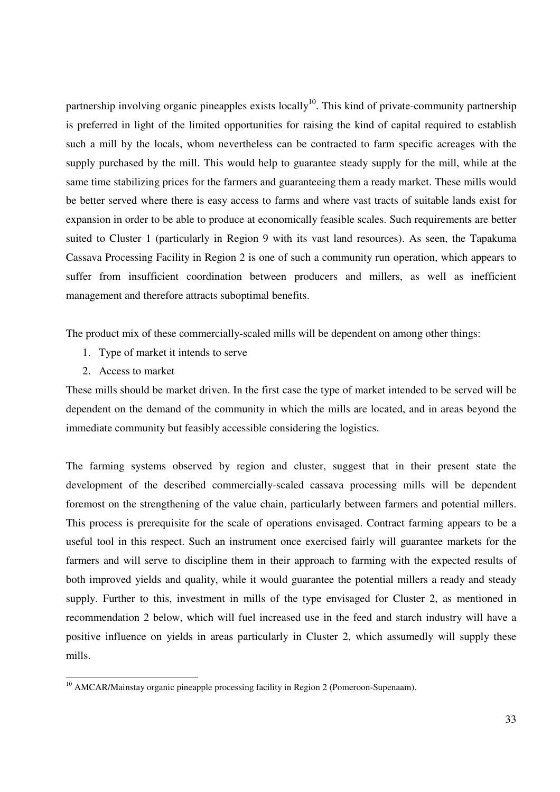partnership involving organic pineapples exists locally<sup>10</sup>. This kind of private-community partnership is preferred in light of the limited opportunities for raising the kind of capital required to establish such a mill by the locals, whom nevertheless can be contracted to farm specific acreages with the supply purchased by the mill. This would help to guarantee steady supply for the mill, while at the same time stabilizing prices for the farmers and guaranteeing them a ready market. These mills would be better served where there is easy access to farms and where vast tracts of suitable lands exist for expansion in order to be able to produce at economically feasible scales. Such requirements are better suited to Cluster 1 (particularly in Region 9 with its vast land resources). As seen, the Tapakuma Cassava Processing Facility in Region 2 is one of such a community run operation, which appears to suffer from insufficient coordination between producers and millers, as well as inefficient management and therefore attracts suboptimal benefits.

The product mix of these commercially-scaled mills will be dependent on among other things:

- 1. Type of market it intends to serve
- 2. Access to market

<u>.</u>

These mills should be market driven. In the first case the type of market intended to be served will be dependent on the demand of the community in which the mills are located, and in areas beyond the immediate community but feasibly accessible considering the logistics.

The farming systems observed by region and cluster, suggest that in their present state the development of the described commercially-scaled cassava processing mills will be dependent foremost on the strengthening of the value chain, particularly between farmers and potential millers. This process is prerequisite for the scale of operations envisaged. Contract farming appears to be a useful tool in this respect. Such an instrument once exercised fairly will guarantee markets for the farmers and will serve to discipline them in their approach to farming with the expected results of both improved yields and quality, while it would guarantee the potential millers a ready and steady supply. Further to this, investment in mills of the type envisaged for Cluster 2, as mentioned in recommendation 2 below, which will fuel increased use in the feed and starch industry will have a positive influence on yields in areas particularly in Cluster 2, which assumedly will supply these mills.

<sup>&</sup>lt;sup>10</sup> AMCAR/Mainstay organic pineapple processing facility in Region 2 (Pomeroon-Supenaam).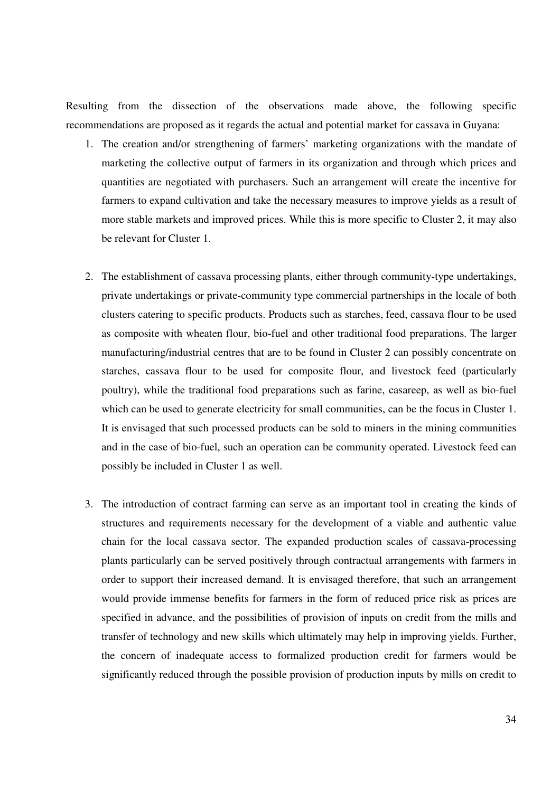Resulting from the dissection of the observations made above, the following specific recommendations are proposed as it regards the actual and potential market for cassava in Guyana:

- 1. The creation and/or strengthening of farmers' marketing organizations with the mandate of marketing the collective output of farmers in its organization and through which prices and quantities are negotiated with purchasers. Such an arrangement will create the incentive for farmers to expand cultivation and take the necessary measures to improve yields as a result of more stable markets and improved prices. While this is more specific to Cluster 2, it may also be relevant for Cluster 1.
- 2. The establishment of cassava processing plants, either through community-type undertakings, private undertakings or private-community type commercial partnerships in the locale of both clusters catering to specific products. Products such as starches, feed, cassava flour to be used as composite with wheaten flour, bio-fuel and other traditional food preparations. The larger manufacturing/industrial centres that are to be found in Cluster 2 can possibly concentrate on starches, cassava flour to be used for composite flour, and livestock feed (particularly poultry), while the traditional food preparations such as farine, casareep, as well as bio-fuel which can be used to generate electricity for small communities, can be the focus in Cluster 1. It is envisaged that such processed products can be sold to miners in the mining communities and in the case of bio-fuel, such an operation can be community operated. Livestock feed can possibly be included in Cluster 1 as well.
- 3. The introduction of contract farming can serve as an important tool in creating the kinds of structures and requirements necessary for the development of a viable and authentic value chain for the local cassava sector. The expanded production scales of cassava-processing plants particularly can be served positively through contractual arrangements with farmers in order to support their increased demand. It is envisaged therefore, that such an arrangement would provide immense benefits for farmers in the form of reduced price risk as prices are specified in advance, and the possibilities of provision of inputs on credit from the mills and transfer of technology and new skills which ultimately may help in improving yields. Further, the concern of inadequate access to formalized production credit for farmers would be significantly reduced through the possible provision of production inputs by mills on credit to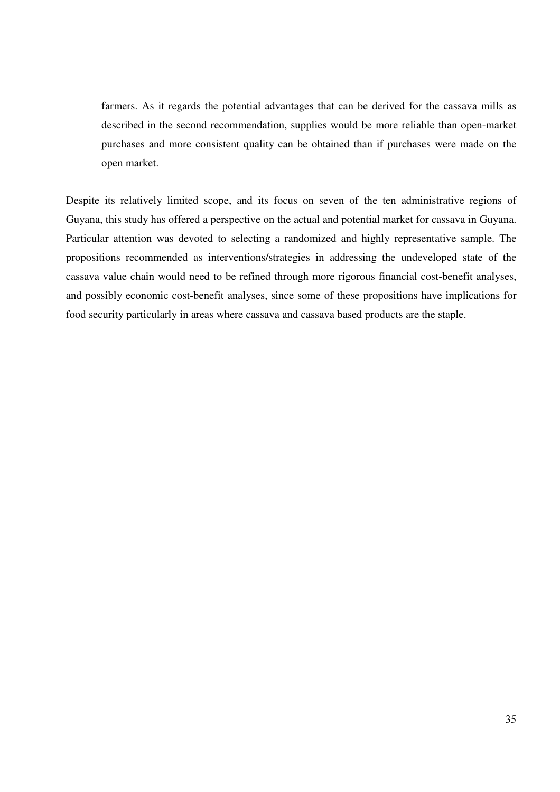farmers. As it regards the potential advantages that can be derived for the cassava mills as described in the second recommendation, supplies would be more reliable than open-market purchases and more consistent quality can be obtained than if purchases were made on the open market.

Despite its relatively limited scope, and its focus on seven of the ten administrative regions of Guyana, this study has offered a perspective on the actual and potential market for cassava in Guyana. Particular attention was devoted to selecting a randomized and highly representative sample. The propositions recommended as interventions/strategies in addressing the undeveloped state of the cassava value chain would need to be refined through more rigorous financial cost-benefit analyses, and possibly economic cost-benefit analyses, since some of these propositions have implications for food security particularly in areas where cassava and cassava based products are the staple.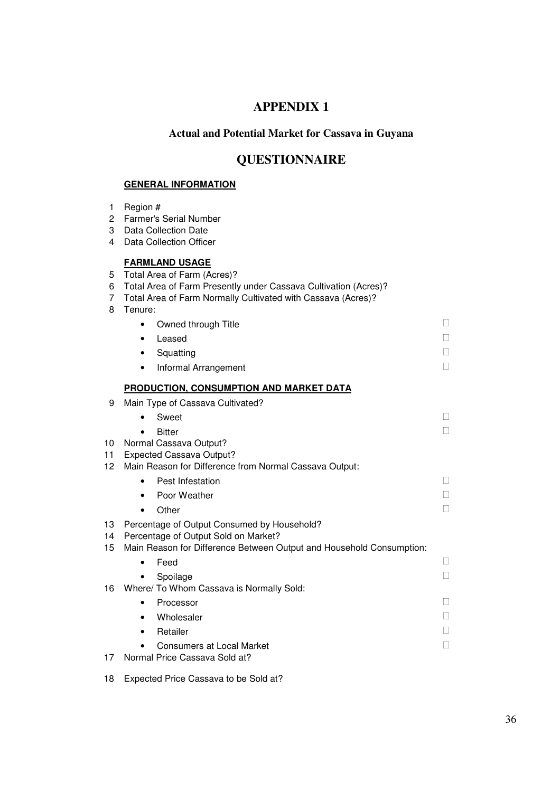# **APPENDIX 1**

## **Actual and Potential Market for Cassava in Guyana**

## **QUESTIONNAIRE**

## **GENERAL INFORMATION**

2 Farmer's Serial Number

1 Region #

| 3<br>4           | <b>Data Collection Date</b><br><b>Data Collection Officer</b>                                                                                                                                      |        |
|------------------|----------------------------------------------------------------------------------------------------------------------------------------------------------------------------------------------------|--------|
| 5<br>6<br>7<br>8 | <b>FARMLAND USAGE</b><br>Total Area of Farm (Acres)?<br>Total Area of Farm Presently under Cassava Cultivation (Acres)?<br>Total Area of Farm Normally Cultivated with Cassava (Acres)?<br>Tenure: |        |
|                  | Owned through Title<br>$\bullet$                                                                                                                                                                   | П      |
|                  | Leased<br>٠                                                                                                                                                                                        | П      |
|                  | Squatting<br>٠                                                                                                                                                                                     | П      |
|                  | Informal Arrangement<br>$\bullet$                                                                                                                                                                  | П      |
|                  | <b>PRODUCTION, CONSUMPTION AND MARKET DATA</b>                                                                                                                                                     |        |
| 9                | Main Type of Cassava Cultivated?                                                                                                                                                                   |        |
|                  | Sweet                                                                                                                                                                                              | П      |
|                  | <b>Bitter</b>                                                                                                                                                                                      | П      |
| 10               | Normal Cassava Output?                                                                                                                                                                             |        |
| 11               | <b>Expected Cassava Output?</b>                                                                                                                                                                    |        |
| 12.              | Main Reason for Difference from Normal Cassava Output:                                                                                                                                             |        |
|                  | Pest Infestation                                                                                                                                                                                   | Н      |
|                  | Poor Weather<br>$\bullet$                                                                                                                                                                          | П      |
|                  | Other<br>$\bullet$                                                                                                                                                                                 |        |
| 13<br>14         | Percentage of Output Consumed by Household?<br>Percentage of Output Sold on Market?                                                                                                                |        |
| 15               | Main Reason for Difference Between Output and Household Consumption:                                                                                                                               | $\Box$ |
|                  | Feed<br>$\bullet$                                                                                                                                                                                  | П      |
| 16.              | Spoilage<br>Where/ To Whom Cassava is Normally Sold:                                                                                                                                               |        |
|                  | Processor<br>$\bullet$                                                                                                                                                                             | П      |
|                  | Wholesaler<br>٠                                                                                                                                                                                    | Н      |
|                  | Retailer<br>$\bullet$                                                                                                                                                                              | П      |
|                  | <b>Consumers at Local Market</b>                                                                                                                                                                   | П      |
| 17               | Normal Price Cassava Sold at?                                                                                                                                                                      |        |

18 Expected Price Cassava to be Sold at?